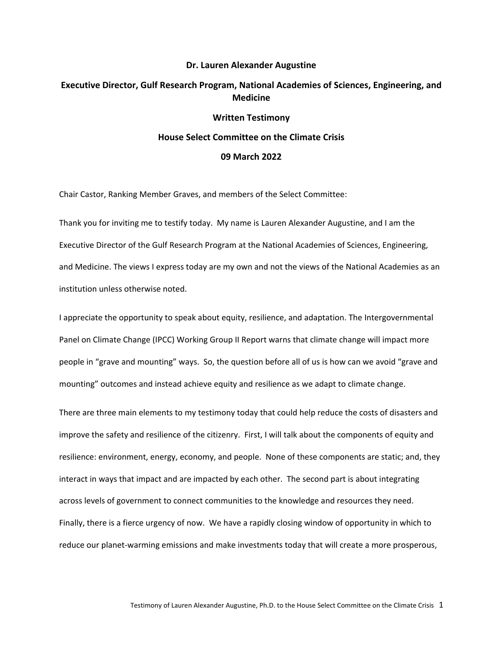# **Dr. Lauren Alexander Augustine Executive Director, Gulf Research Program, National Academies of Sciences, Engineering, and Medicine Written Testimony House Select Committee on the Climate Crisis**

### **09 March 2022**

Chair Castor, Ranking Member Graves, and members of the Select Committee:

Thank you for inviting me to testify today. My name is Lauren Alexander Augustine, and I am the Executive Director of the Gulf Research Program at the National Academies of Sciences, Engineering, and Medicine. The views I express today are my own and not the views of the National Academies as an institution unless otherwise noted.

I appreciate the opportunity to speak about equity, resilience, and adaptation. The Intergovernmental Panel on Climate Change (IPCC) Working Group II Report warns that climate change will impact more people in "grave and mounting" ways. So, the question before all of us is how can we avoid "grave and mounting" outcomes and instead achieve equity and resilience as we adapt to climate change.

There are three main elements to my testimony today that could help reduce the costs of disasters and improve the safety and resilience of the citizenry. First, I will talk about the components of equity and resilience: environment, energy, economy, and people. None of these components are static; and, they interact in ways that impact and are impacted by each other. The second part is about integrating across levels of government to connect communities to the knowledge and resources they need. Finally, there is a fierce urgency of now. We have a rapidly closing window of opportunity in which to reduce our planet-warming emissions and make investments today that will create a more prosperous,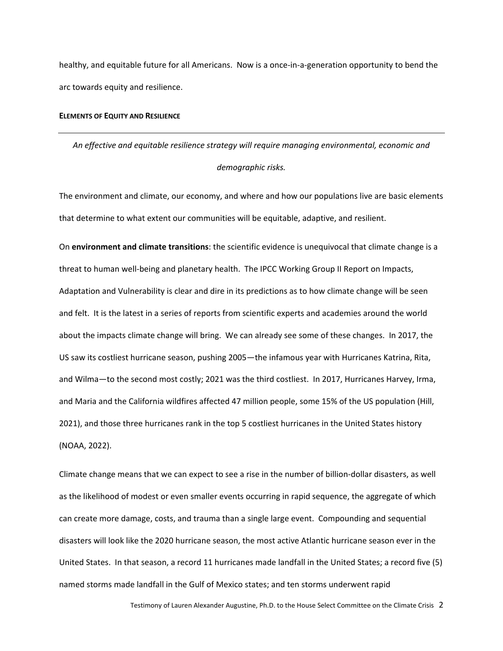healthy, and equitable future for all Americans. Now is a once-in-a-generation opportunity to bend the arc towards equity and resilience.

### **ELEMENTS OF EQUITY AND RESILIENCE**

*An effective and equitable resilience strategy will require managing environmental, economic and demographic risks.*

The environment and climate, our economy, and where and how our populations live are basic elements that determine to what extent our communities will be equitable, adaptive, and resilient.

On **environment and climate transitions**: the scientific evidence is unequivocal that climate change is a threat to human well-being and planetary health. The IPCC Working Group II Report on Impacts, Adaptation and Vulnerability is clear and dire in its predictions as to how climate change will be seen and felt. It is the latest in a series of reports from scientific experts and academies around the world about the impacts climate change will bring. We can already see some of these changes. In 2017, the US saw its costliest hurricane season, pushing 2005—the infamous year with Hurricanes Katrina, Rita, and Wilma—to the second most costly; 2021 was the third costliest. In 2017, Hurricanes Harvey, Irma, and Maria and the California wildfires affected 47 million people, some 15% of the US population (Hill, 2021), and those three hurricanes rank in the top 5 costliest hurricanes in the United States history (NOAA, 2022).

Climate change means that we can expect to see a rise in the number of billion-dollar disasters, as well as the likelihood of modest or even smaller events occurring in rapid sequence, the aggregate of which can create more damage, costs, and trauma than a single large event. Compounding and sequential disasters will look like the 2020 hurricane season, the most active Atlantic hurricane season ever in the United States. In that season, a record 11 hurricanes made landfall in the United States; a record five (5) named storms made landfall in the Gulf of Mexico states; and ten storms underwent rapid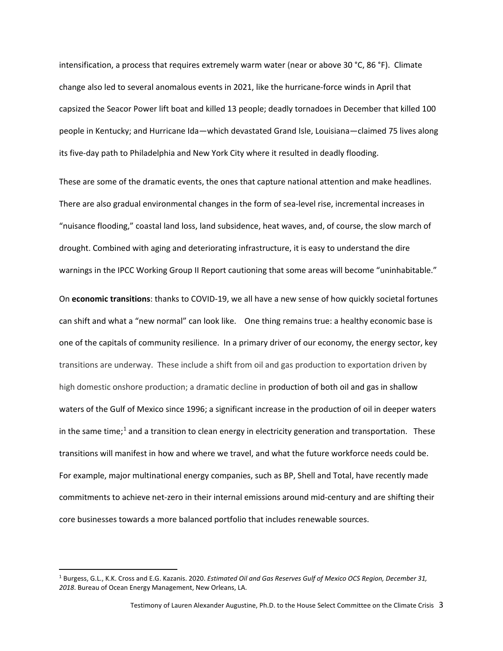intensification, a process that requires extremely warm water (near or above 30 °C, 86 °F). Climate change also led to several anomalous events in 2021, like the hurricane-force winds in April that capsized the Seacor Power lift boat and killed 13 people; deadly tornadoes in December that killed 100 people in Kentucky; and Hurricane Ida—which devastated Grand Isle, Louisiana—claimed 75 lives along its five-day path to Philadelphia and New York City where it resulted in deadly flooding.

These are some of the dramatic events, the ones that capture national attention and make headlines. There are also gradual environmental changes in the form of sea-level rise, incremental increases in "nuisance flooding," coastal land loss, land subsidence, heat waves, and, of course, the slow march of drought. Combined with aging and deteriorating infrastructure, it is easy to understand the dire warnings in the IPCC Working Group II Report cautioning that some areas will become "uninhabitable."

On **economic transitions**: thanks to COVID-19, we all have a new sense of how quickly societal fortunes can shift and what a "new normal" can look like. One thing remains true: a healthy economic base is one of the capitals of community resilience. In a primary driver of our economy, the energy sector, key transitions are underway. These include a shift from oil and gas production to exportation driven by high domestic onshore production; a dramatic decline in production of both oil and gas in shallow waters of the Gulf of Mexico since 1996; a significant increase in the production of oil in deeper waters in the same time;<sup>[1](#page-2-0)</sup> and a transition to clean energy in electricity generation and transportation. These transitions will manifest in how and where we travel, and what the future workforce needs could be. For example, major multinational energy companies, such as BP, Shell and Total, have recently made commitments to achieve net-zero in their internal emissions around mid-century and are shifting their core businesses towards a more balanced portfolio that includes renewable sources.

<span id="page-2-0"></span><sup>1</sup> Burgess, G.L., K.K. Cross and E.G. Kazanis. 2020. *Estimated Oil and Gas Reserves Gulf of Mexico OCS Region, December 31, 2018*. Bureau of Ocean Energy Management, New Orleans, LA.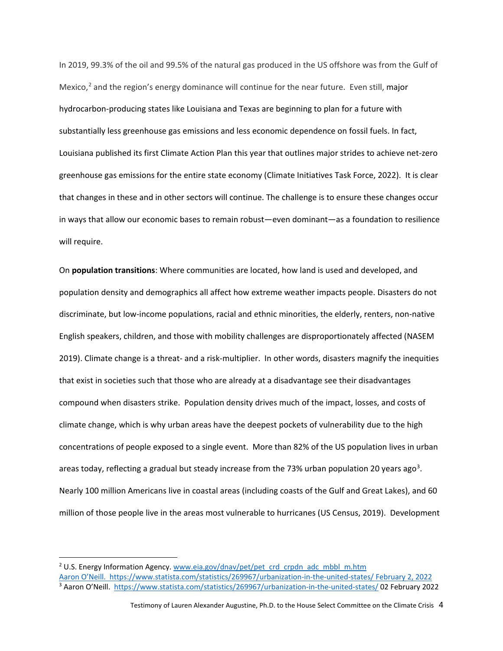In 2019, 99.3% of the oil and 99.5% of the natural gas produced in the US offshore was from the Gulf of Mexico, $^2$  $^2$  and the region's energy dominance will continue for the near future. Even still, major hydrocarbon-producing states like Louisiana and Texas are beginning to plan for a future with substantially less greenhouse gas emissions and less economic dependence on fossil fuels. In fact, Louisiana published its first Climate Action Plan this year that outlines major strides to achieve net-zero greenhouse gas emissions for the entire state economy (Climate Initiatives Task Force, 2022). It is clear that changes in these and in other sectors will continue. The challenge is to ensure these changes occur in ways that allow our economic bases to remain robust—even dominant—as a foundation to resilience will require.

On **population transitions**: Where communities are located, how land is used and developed, and population density and demographics all affect how extreme weather impacts people. Disasters do not discriminate, but low-income populations, racial and ethnic minorities, the elderly, renters, non-native English speakers, children, and those with mobility challenges are disproportionately affected (NASEM 2019). Climate change is a threat- and a risk-multiplier. In other words, disasters magnify the inequities that exist in societies such that those who are already at a disadvantage see their disadvantages compound when disasters strike. Population density drives much of the impact, losses, and costs of climate change, which is why urban areas have the deepest pockets of vulnerability due to the high concentrations of people exposed to a single event. More than 82% of the US population lives in urban areas today, reflecting a gradual but steady increase from the 7[3](#page-3-1)% urban population 20 years ago<sup>3</sup>. Nearly 100 million Americans live in coastal areas (including coasts of the Gulf and Great Lakes), and 60 million of those people live in the areas most vulnerable to hurricanes (US Census, 2019). Development

<span id="page-3-1"></span><span id="page-3-0"></span><sup>&</sup>lt;sup>2</sup> U.S. Energy Information Agency. [www.eia.gov/dnav/pet/pet\\_crd\\_crpdn\\_adc\\_mbbl\\_m.htm](http://www.eia.gov/dnav/pet/pet_crd_crpdn_adc_mbbl_m.htm) Aaron O'Neill.<https://www.statista.com/statistics/269967/urbanization-in-the-united-states/> February 2, 2022 <sup>3</sup> Aaron O'Neill. <https://www.statista.com/statistics/269967/urbanization-in-the-united-states/> 02 February 2022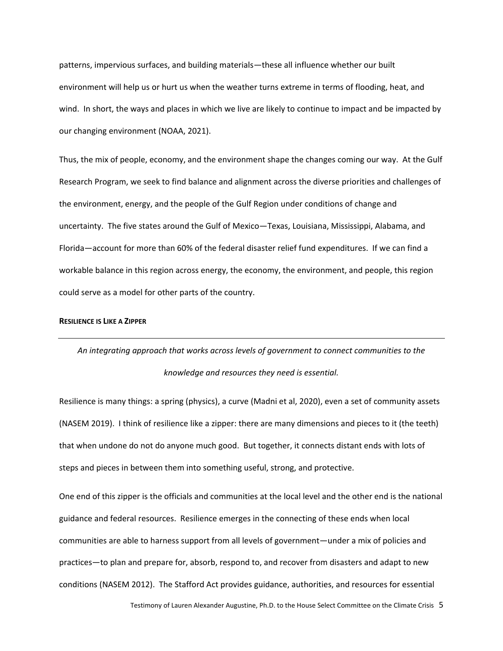patterns, impervious surfaces, and building materials—these all influence whether our built environment will help us or hurt us when the weather turns extreme in terms of flooding, heat, and wind. In short, the ways and places in which we live are likely to continue to impact and be impacted by our changing environment (NOAA, 2021).

Thus, the mix of people, economy, and the environment shape the changes coming our way. At the Gulf Research Program, we seek to find balance and alignment across the diverse priorities and challenges of the environment, energy, and the people of the Gulf Region under conditions of change and uncertainty. The five states around the Gulf of Mexico—Texas, Louisiana, Mississippi, Alabama, and Florida—account for more than 60% of the federal disaster relief fund expenditures. If we can find a workable balance in this region across energy, the economy, the environment, and people, this region could serve as a model for other parts of the country.

#### **RESILIENCE IS LIKE A ZIPPER**

## *An integrating approach that works across levels of government to connect communities to the knowledge and resources they need is essential.*

Resilience is many things: a spring (physics), a curve (Madni et al, 2020), even a set of community assets (NASEM 2019). I think of resilience like a zipper: there are many dimensions and pieces to it (the teeth) that when undone do not do anyone much good. But together, it connects distant ends with lots of steps and pieces in between them into something useful, strong, and protective.

One end of this zipper is the officials and communities at the local level and the other end is the national guidance and federal resources. Resilience emerges in the connecting of these ends when local communities are able to harness support from all levels of government—under a mix of policies and practices—to plan and prepare for, absorb, respond to, and recover from disasters and adapt to new conditions (NASEM 2012). The Stafford Act provides guidance, authorities, and resources for essential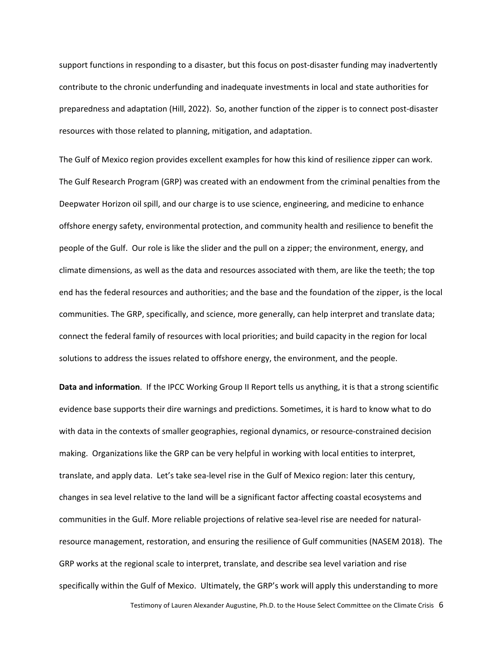support functions in responding to a disaster, but this focus on post-disaster funding may inadvertently contribute to the chronic underfunding and inadequate investments in local and state authorities for preparedness and adaptation (Hill, 2022). So, another function of the zipper is to connect post-disaster resources with those related to planning, mitigation, and adaptation.

The Gulf of Mexico region provides excellent examples for how this kind of resilience zipper can work. The Gulf Research Program (GRP) was created with an endowment from the criminal penalties from the Deepwater Horizon oil spill, and our charge is to use science, engineering, and medicine to enhance offshore energy safety, environmental protection, and community health and resilience to benefit the people of the Gulf. Our role is like the slider and the pull on a zipper; the environment, energy, and climate dimensions, as well as the data and resources associated with them, are like the teeth; the top end has the federal resources and authorities; and the base and the foundation of the zipper, is the local communities. The GRP, specifically, and science, more generally, can help interpret and translate data; connect the federal family of resources with local priorities; and build capacity in the region for local solutions to address the issues related to offshore energy, the environment, and the people.

**Data and information**. If the IPCC Working Group II Report tells us anything, it is that a strong scientific evidence base supports their dire warnings and predictions. Sometimes, it is hard to know what to do with data in the contexts of smaller geographies, regional dynamics, or resource-constrained decision making. Organizations like the GRP can be very helpful in working with local entities to interpret, translate, and apply data. Let's take sea-level rise in the Gulf of Mexico region: later this century, changes in sea level relative to the land will be a significant factor affecting coastal ecosystems and communities in the Gulf. More reliable projections of relative sea-level rise are needed for naturalresource management, restoration, and ensuring the resilience of Gulf communities (NASEM 2018). The GRP works at the regional scale to interpret, translate, and describe sea level variation and rise specifically within the Gulf of Mexico. Ultimately, the GRP's work will apply this understanding to more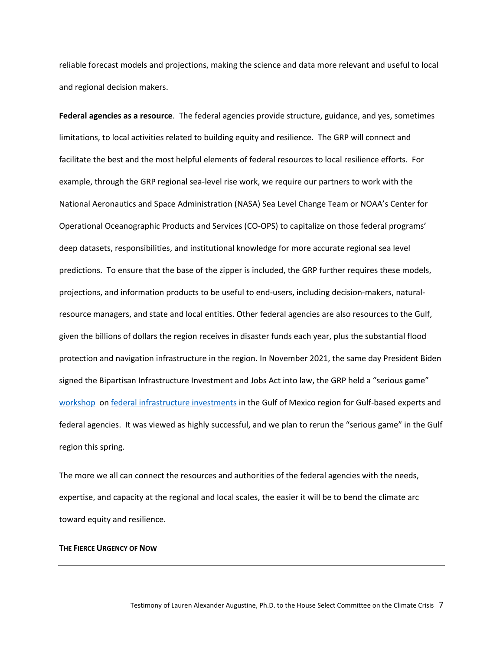reliable forecast models and projections, making the science and data more relevant and useful to local and regional decision makers.

**Federal agencies as a resource**. The federal agencies provide structure, guidance, and yes, sometimes limitations, to local activities related to building equity and resilience. The GRP will connect and facilitate the best and the most helpful elements of federal resources to local resilience efforts. For example, through the GRP regional sea-level rise work, we require our partners to work with the National Aeronautics and Space Administration (NASA) [Sea Level Change Team](https://sealevel.nasa.gov/) or NOAA's [Center for](https://oceanservice.noaa.gov/annualreport/2020/coops.html#:%7E:text=NOAA)  [Operational Oceanographic Products and Services](https://oceanservice.noaa.gov/annualreport/2020/coops.html#:%7E:text=NOAA) (CO-OPS) to capitalize on those federal programs' deep datasets, responsibilities, and institutional knowledge for more accurate regional sea level predictions. To ensure that the base of the zipper is included, the GRP further requires these models, projections, and information products to be useful to end-users, including decision-makers, naturalresource managers, and state and local entities. Other federal agencies are also resources to the Gulf, given the billions of dollars the region receives in disaster funds each year, plus the substantial flood protection and navigation infrastructure in the region. In November 2021, the same day President Biden signed the Bipartisan Infrastructure Investment and Jobs Act into law, the GRP held a "serious game" [workshop](https://www.nationalacademies.org/our-work/investing-in-resilient-infrastructure-in-the-gulf-of-mexico-a-workshop#:%7E:text=The%20Gulf%20Research%20Program%20hosted,from%20infrastructure%20in%20the%20Gulf.) on [federal infrastructure investments](https://youtu.be/A3oFKa2-3pg) in the Gulf of Mexico region for Gulf-based experts and federal agencies. It was viewed as highly successful, and we plan to rerun the "serious game" in the Gulf region this spring.

The more we all can connect the resources and authorities of the federal agencies with the needs, expertise, and capacity at the regional and local scales, the easier it will be to bend the climate arc toward equity and resilience.

### **THE FIERCE URGENCY OF NOW**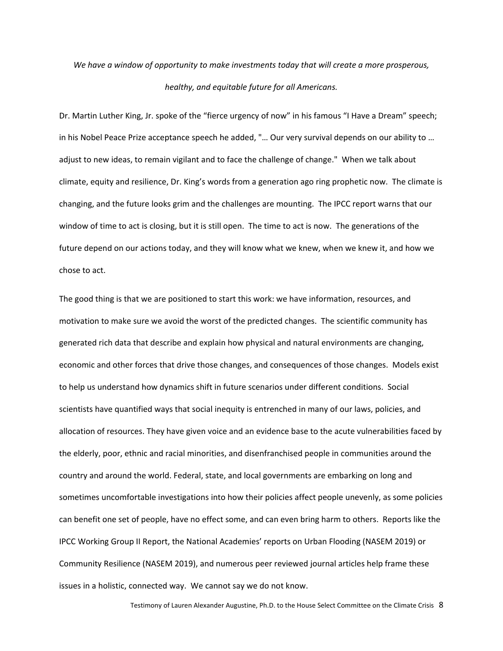## *We have a window of opportunity to make investments today that will create a more prosperous, healthy, and equitable future for all Americans.*

Dr. Martin Luther King, Jr. spoke of the "fierce urgency of now" in his famous "I Have a Dream" speech; in his Nobel Peace Prize acceptance speech he added, "… Our very survival depends on our ability to … adjust to new ideas, to remain vigilant and to face the challenge of change." When we talk about climate, equity and resilience, Dr. King's words from a generation ago ring prophetic now. The climate is changing, and the future looks grim and the challenges are mounting. The IPCC report warns that our window of time to act is closing, but it is still open. The time to act is now. The generations of the future depend on our actions today, and they will know what we knew, when we knew it, and how we chose to act.

The good thing is that we are positioned to start this work: we have information, resources, and motivation to make sure we avoid the worst of the predicted changes. The scientific community has generated rich data that describe and explain how physical and natural environments are changing, economic and other forces that drive those changes, and consequences of those changes. Models exist to help us understand how dynamics shift in future scenarios under different conditions. Social scientists have quantified ways that social inequity is entrenched in many of our laws, policies, and allocation of resources. They have given voice and an evidence base to the acute vulnerabilities faced by the elderly, poor, ethnic and racial minorities, and disenfranchised people in communities around the country and around the world. Federal, state, and local governments are embarking on long and sometimes uncomfortable investigations into how their policies affect people unevenly, as some policies can benefit one set of people, have no effect some, and can even bring harm to others. Reports like the IPCC Working Group II Report, the National Academies' reports on Urban Flooding (NASEM 2019) or Community Resilience (NASEM 2019), and numerous peer reviewed journal articles help frame these issues in a holistic, connected way. We cannot say we do not know.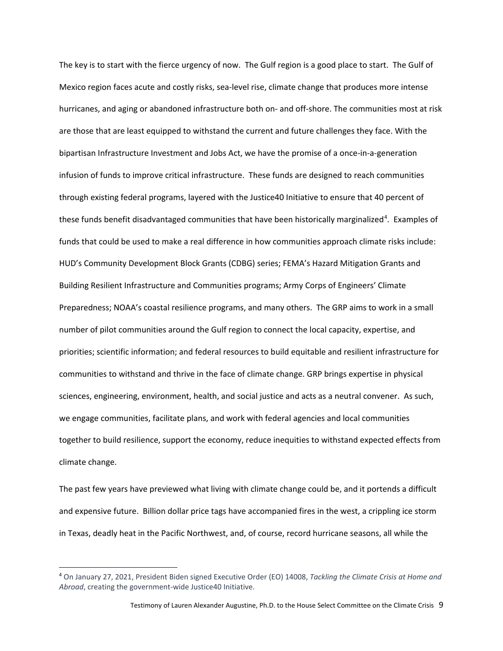The key is to start with the fierce urgency of now. The Gulf region is a good place to start. The Gulf of Mexico region faces acute and costly risks, sea-level rise, climate change that produces more intense hurricanes, and aging or abandoned infrastructure both on- and off-shore. The communities most at risk are those that are least equipped to withstand the current and future challenges they face. With the bipartisan Infrastructure Investment and Jobs Act, we have the promise of a once-in-a-generation infusion of funds to improve critical infrastructure. These funds are designed to reach communities through existing federal programs, layered with the Justice40 Initiative to ensure that 40 percent of these funds benefit disadvantaged communities that have been historically marginalized<sup>[4](#page-8-0)</sup>. Examples of funds that could be used to make a real difference in how communities approach climate risks include: HUD's Community Development Block Grants (CDBG) series; FEMA's Hazard Mitigation Grants and Building Resilient Infrastructure and Communities programs; Army Corps of Engineers' Climate Preparedness; NOAA's coastal resilience programs, and many others. The GRP aims to work in a small number of pilot communities around the Gulf region to connect the local capacity, expertise, and priorities; scientific information; and federal resources to build equitable and resilient infrastructure for communities to withstand and thrive in the face of climate change. GRP brings expertise in physical sciences, engineering, environment, health, and social justice and acts as a neutral convener. As such, we engage communities, facilitate plans, and work with federal agencies and local communities together to build resilience, support the economy, reduce inequities to withstand expected effects from climate change.

The past few years have previewed what living with climate change could be, and it portends a difficult and expensive future. Billion dollar price tags have accompanied fires in the west, a crippling ice storm in Texas, deadly heat in the Pacific Northwest, and, of course, record hurricane seasons, all while the

<span id="page-8-0"></span><sup>4</sup> On January 27, 2021, President Biden signed Executive Order (EO) 14008, *Tackling the Climate Crisis at Home and Abroad*, creating the government-wide Justice40 Initiative.